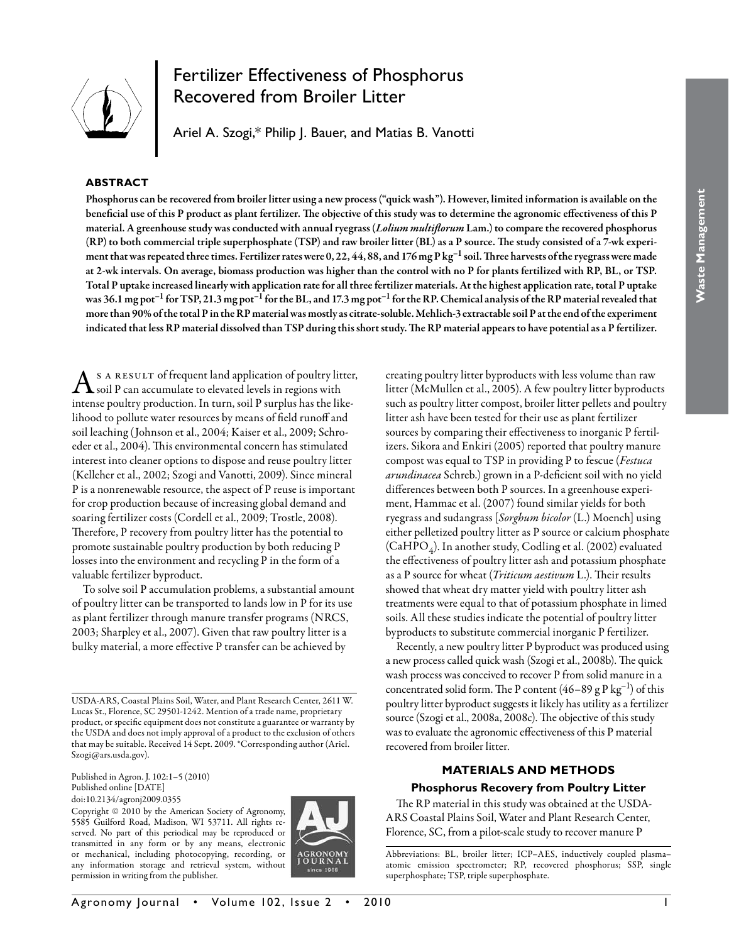

# Fertilizer Effectiveness of Phosphorus Recovered from Broiler Litter

Ariel A. Szogi,\* Philip J. Bauer, and Matias B. Vanotti

# **ABSTRACT**

Phosphorus can be recovered from broiler litter using a new process ("quick wash"). However, limited information is available on the beneficial use of this P product as plant fertilizer. The objective of this study was to determine the agronomic effectiveness of this P material. A greenhouse study was conducted with annual ryegrass (*Lolium multiflorum* Lam.) to compare the recovered phosphorus (RP) to both commercial triple superphosphate (TSP) and raw broiler litter (BL) as a P source. The study consisted of a 7-wk experiment that was repeated three times. Fertilizer rates were 0, 22, 44, 88, and 176 mg P kg<sup>-1</sup> soil. Three harvests of the ryegrass were made at 2-wk intervals. On average, biomass production was higher than the control with no P for plants fertilized with RP, BL, or TSP. Total P uptake increased linearly with application rate for all three fertilizer materials. At the highest application rate, total P uptake was  $36.1$  mg pot<sup>-1</sup> for TSP, 21.3 mg pot<sup>-1</sup> for the BL, and 17.3 mg pot<sup>-1</sup> for the RP. Chemical analysis of the RP material revealed that more than 90% of the total P in the RP material was mostly as citrate-soluble. Mehlich-3 extractable soil P at the end of the experiment indicated that less RP material dissolved than TSP during this short study. The RP material appears to have potential as a P fertilizer.

s A RESULT of frequent land application of poultry litter, soil P can accumulate to elevated levels in regions with intense poultry production. In turn, soil P surplus has the likelihood to pollute water resources by means of field runoff and soil leaching (Johnson et al., 2004; Kaiser et al., 2009; Schroeder et al., 2004). This environmental concern has stimulated interest into cleaner options to dispose and reuse poultry litter (Kelleher et al., 2002; Szogi and Vanotti, 2009). Since mineral P is a nonrenewable resource, the aspect of P reuse is important for crop production because of increasing global demand and soaring fertilizer costs (Cordell et al., 2009; Trostle, 2008). Therefore, P recovery from poultry litter has the potential to promote sustainable poultry production by both reducing P losses into the environment and recycling P in the form of a valuable fertilizer byproduct.

To solve soil P accumulation problems, a substantial amount of poultry litter can be transported to lands low in P for its use as plant fertilizer through manure transfer programs (NRCS, 2003; Sharpley et al., 2007). Given that raw poultry litter is a bulky material, a more effective P transfer can be achieved by

USDA-ARS, Coastal Plains Soil, Water, and Plant Research Center, 2611 W. Lucas St., Florence, SC 29501-1242. Mention of a trade name, proprietary product, or specific equipment does not constitute a guarantee or warranty by the USDA and does not imply approval of a product to the exclusion of others that may be suitable. Received 14 Sept. 2009. \*Corresponding author (Ariel. Szogi@ars.usda.gov).

Published in Agron. J. 102:1–5 (2010) Published online [DATE] doi:10.2134/agronj2009.0355

Copyright © 2010 by the American Society of Agronomy, 5585 Guilford Road, Madison, WI 53711. All rights reserved. No part of this periodical may be reproduced or transmitted in any form or by any means, electronic or mechanical, including photocopying, recording, or any information storage and retrieval system, without permission in writing from the publisher.



creating poultry litter byproducts with less volume than raw litter (McMullen et al., 2005). A few poultry litter byproducts such as poultry litter compost, broiler litter pellets and poultry litter ash have been tested for their use as plant fertilizer sources by comparing their effectiveness to inorganic P fertilizers. Sikora and Enkiri (2005) reported that poultry manure compost was equal to TSP in providing P to fescue (*Festuca arundinacea* Schreb.) grown in a P-deficient soil with no yield differences between both P sources. In a greenhouse experiment, Hammac et al. (2007) found similar yields for both ryegrass and sudangrass [*Sorghum bicolor* (L.) Moench] using either pelletized poultry litter as P source or calcium phosphate (CaHPO<sub>4</sub>). In another study, Codling et al. (2002) evaluated the effectiveness of poultry litter ash and potassium phosphate as a P source for wheat (*Triticum aestivum* L.). Their results showed that wheat dry matter yield with poultry litter ash treatments were equal to that of potassium phosphate in limed soils. All these studies indicate the potential of poultry litter byproducts to substitute commercial inorganic P fertilizer.

Recently, a new poultry litter P byproduct was produced using a new process called quick wash (Szogi et al., 2008b). The quick wash process was conceived to recover P from solid manure in a concentrated solid form. The P content  $(46–89 \text{ g} \text{ P kg}^{-1})$  of this poultry litter byproduct suggests it likely has utility as a fertilizer source (Szogi et al., 2008a, 2008c). The objective of this study was to evaluate the agronomic effectiveness of this P material recovered from broiler litter.

# **MATERIALS AND METHODS**

# **Phosphorus Recovery from Poultry Litter**

The RP material in this study was obtained at the USDA-ARS Coastal Plains Soil, Water and Plant Research Center, Florence, SC, from a pilot-scale study to recover manure P

Abbreviations: BL, broiler litter; ICP–AES, inductively coupled plasma– atomic emission spectrometer; RP, recovered phosphorus; SSP, single superphosphate; TSP, triple superphosphate.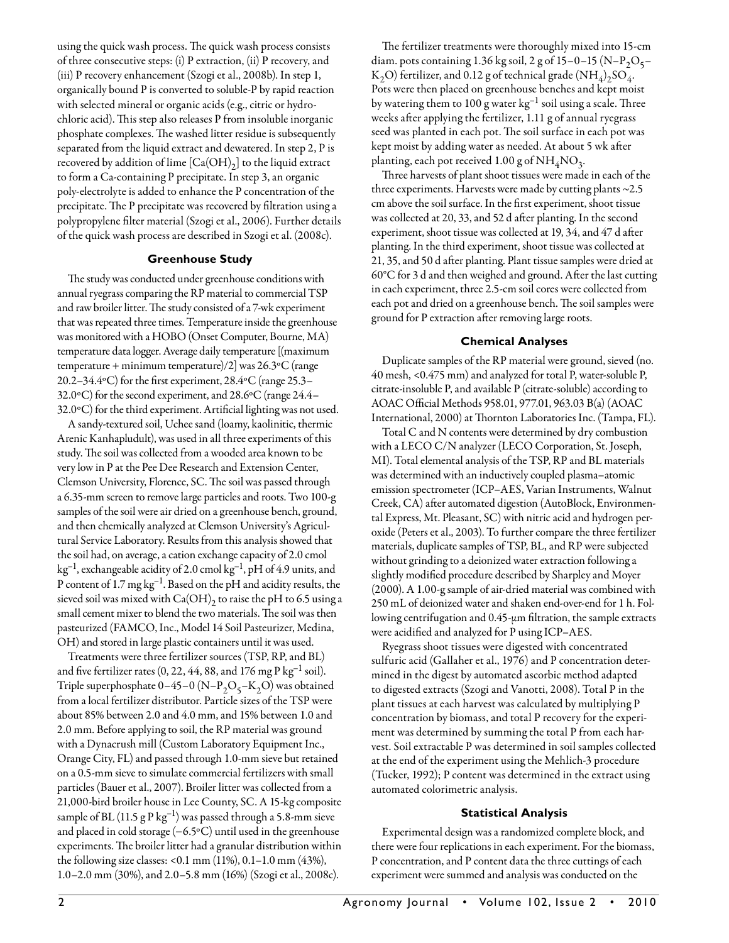using the quick wash process. The quick wash process consists of three consecutive steps: (i) P extraction, (ii) P recovery, and (iii) P recovery enhancement (Szogi et al., 2008b). In step 1, organically bound P is converted to soluble-P by rapid reaction with selected mineral or organic acids (e.g., citric or hydrochloric acid). This step also releases P from insoluble inorganic phosphate complexes. The washed litter residue is subsequently separated from the liquid extract and dewatered. In step 2, P is recovered by addition of lime  $[Ca(OH)_2]$  to the liquid extract to form a Ca-containing P precipitate. In step 3, an organic poly-electrolyte is added to enhance the P concentration of the precipitate. The P precipitate was recovered by filtration using a polypropylene filter material (Szogi et al., 2006). Further details of the quick wash process are described in Szogi et al. (2008c).

# **Greenhouse Study**

The study was conducted under greenhouse conditions with annual ryegrass comparing the RP material to commercial TSP and raw broiler litter. The study consisted of a 7-wk experiment that was repeated three times. Temperature inside the greenhouse was monitored with a HOBO (Onset Computer, Bourne, MA) temperature data logger. Average daily temperature [(maximum temperature + minimum temperature)/2] was 26.3ºC (range 20.2–34.4ºC) for the first experiment, 28.4ºC (range 25.3– 32.0ºC) for the second experiment, and 28.6ºC (range 24.4– 32.0ºC) for the third experiment. Artificial lighting was not used.

A sandy-textured soil, Uchee sand (loamy, kaolinitic, thermic Arenic Kanhapludult), was used in all three experiments of this study. The soil was collected from a wooded area known to be very low in P at the Pee Dee Research and Extension Center, Clemson University, Florence, SC. The soil was passed through a 6.35-mm screen to remove large particles and roots. Two 100-g samples of the soil were air dried on a greenhouse bench, ground, and then chemically analyzed at Clemson University's Agricultural Service Laboratory. Results from this analysis showed that the soil had, on average, a cation exchange capacity of 2.0 cmol  $kg^{-1}$ , exchangeable acidity of 2.0 cmol  $kg^{-1}$ , pH of 4.9 units, and P content of 1.7 mg kg–1. Based on the pH and acidity results, the sieved soil was mixed with  $Ca(OH)_2$  to raise the pH to 6.5 using a small cement mixer to blend the two materials. The soil was then pasteurized (FAMCO, Inc., Model 14 Soil Pasteurizer, Medina, OH) and stored in large plastic containers until it was used.

Treatments were three fertilizer sources (TSP, RP, and BL) and five fertilizer rates  $(0, 22, 44, 88, \text{ and } 176 \text{ mg P kg}^{-1} \text{ soil}).$ Triple superphosphate  $0-45-0$  (N– $P_2O_5-K_2O$ ) was obtained from a local fertilizer distributor. Particle sizes of the TSP were about 85% between 2.0 and 4.0 mm, and 15% between 1.0 and 2.0 mm. Before applying to soil, the RP material was ground with a Dynacrush mill (Custom Laboratory Equipment Inc., Orange City, FL) and passed through 1.0-mm sieve but retained on a 0.5-mm sieve to simulate commercial fertilizers with small particles (Bauer et al., 2007). Broiler litter was collected from a 21,000-bird broiler house in Lee County, SC. A 15-kg composite sample of BL  $(11.5 \text{ g} \cdot \text{g}^{-1})$  was passed through a 5.8-mm sieve and placed in cold storage (−6.5ºC) until used in the greenhouse experiments. The broiler litter had a granular distribution within the following size classes: <0.1 mm (11%), 0.1–1.0 mm (43%), 1.0–2.0 mm (30%), and 2.0–5.8 mm (16%) (Szogi et al., 2008c).

The fertilizer treatments were thoroughly mixed into 15-cm diam. pots containing 1.36 kg soil, 2 g of 15–0–15 (N–P<sub>2</sub>O<sub>5</sub>– K<sub>2</sub>O) fertilizer, and 0.12 g of technical grade  $(\text{NH}_4)_2\text{SO}_4$ . Pots were then placed on greenhouse benches and kept moist by watering them to 100 g water  $kg^{-1}$  soil using a scale. Three weeks after applying the fertilizer, 1.11 g of annual ryegrass seed was planted in each pot. The soil surface in each pot was kept moist by adding water as needed. At about 5 wk after planting, each pot received 1.00 g of  $NH_4NO_3$ .

Three harvests of plant shoot tissues were made in each of the three experiments. Harvests were made by cutting plants ~2.5 cm above the soil surface. In the first experiment, shoot tissue was collected at 20, 33, and 52 d after planting. In the second experiment, shoot tissue was collected at 19, 34, and 47 d after planting. In the third experiment, shoot tissue was collected at 21, 35, and 50 d after planting. Plant tissue samples were dried at 60°C for 3 d and then weighed and ground. After the last cutting in each experiment, three 2.5-cm soil cores were collected from each pot and dried on a greenhouse bench. The soil samples were ground for P extraction after removing large roots.

# **Chemical Analyses**

Duplicate samples of the RP material were ground, sieved (no. 40 mesh, <0.475 mm) and analyzed for total P, water-soluble P, citrate-insoluble P, and available P (citrate-soluble) according to AOAC Official Methods 958.01, 977.01, 963.03 B(a) (AOAC International, 2000) at Thornton Laboratories Inc. (Tampa, FL).

Total C and N contents were determined by dry combustion with a LECO C/N analyzer (LECO Corporation, St. Joseph, MI). Total elemental analysis of the TSP, RP and BL materials was determined with an inductively coupled plasma–atomic emission spectrometer (ICP–AES, Varian Instruments, Walnut Creek, CA) after automated digestion (AutoBlock, Environmental Express, Mt. Pleasant, SC) with nitric acid and hydrogen peroxide (Peters et al., 2003). To further compare the three fertilizer materials, duplicate samples of TSP, BL, and RP were subjected without grinding to a deionized water extraction following a slightly modified procedure described by Sharpley and Moyer (2000). A 1.00-g sample of air-dried material was combined with 250 mL of deionized water and shaken end-over-end for 1 h. Following centrifugation and 0.45-µm filtration, the sample extracts were acidified and analyzed for P using ICP–AES.

Ryegrass shoot tissues were digested with concentrated sulfuric acid (Gallaher et al., 1976) and P concentration determined in the digest by automated ascorbic method adapted to digested extracts (Szogi and Vanotti, 2008). Total P in the plant tissues at each harvest was calculated by multiplying P concentration by biomass, and total P recovery for the experiment was determined by summing the total P from each harvest. Soil extractable P was determined in soil samples collected at the end of the experiment using the Mehlich-3 procedure (Tucker, 1992); P content was determined in the extract using automated colorimetric analysis.

# **Statistical Analysis**

Experimental design was a randomized complete block, and there were four replications in each experiment. For the biomass, P concentration, and P content data the three cuttings of each experiment were summed and analysis was conducted on the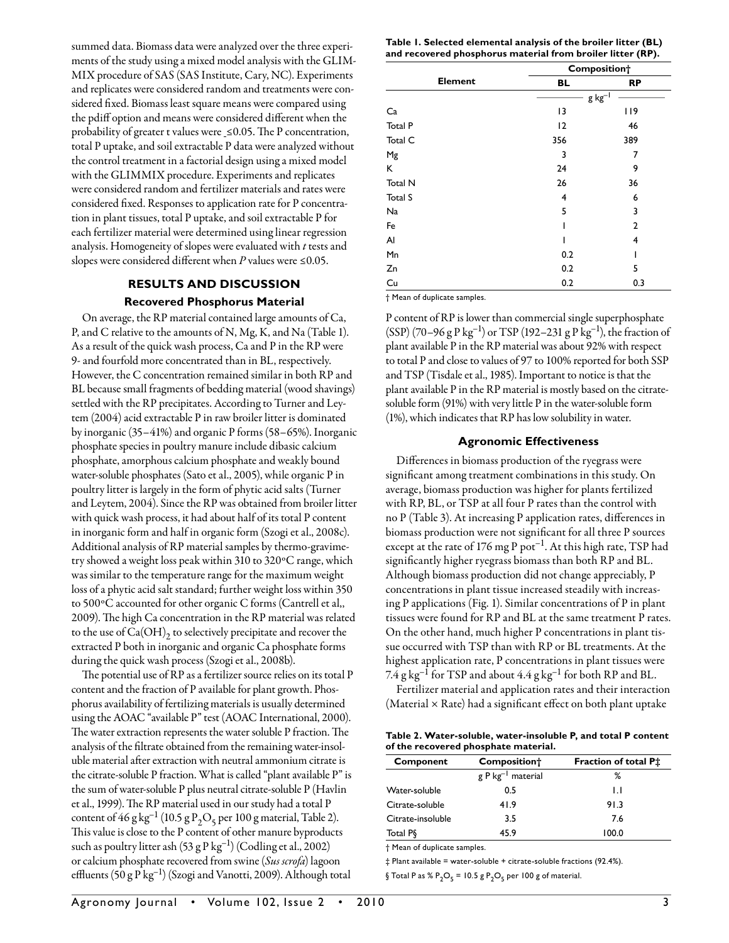summed data. Biomass data were analyzed over the three experiments of the study using a mixed model analysis with the GLIM-MIX procedure of SAS (SAS Institute, Cary, NC). Experiments and replicates were considered random and treatments were considered fixed. Biomass least square means were compared using the pdiff option and means were considered different when the probability of greater t values were ≤0.05. The P concentration, total P uptake, and soil extractable P data were analyzed without the control treatment in a factorial design using a mixed model with the GLIMMIX procedure. Experiments and replicates were considered random and fertilizer materials and rates were considered fixed. Responses to application rate for P concentration in plant tissues, total P uptake, and soil extractable P for each fertilizer material were determined using linear regression analysis. Homogeneity of slopes were evaluated with *t* tests and slopes were considered different when *P* values were ≤0.05.

# **RESULTS AND DISCUSSION Recovered Phosphorus Material**

On average, the RP material contained large amounts of Ca, P, and C relative to the amounts of N, Mg, K, and Na (Table 1). As a result of the quick wash process, Ca and P in the RP were 9- and fourfold more concentrated than in BL, respectively. However, the C concentration remained similar in both RP and BL because small fragments of bedding material (wood shavings) settled with the RP precipitates. According to Turner and Leytem (2004) acid extractable P in raw broiler litter is dominated by inorganic (35–41%) and organic P forms (58–65%). Inorganic phosphate species in poultry manure include dibasic calcium phosphate, amorphous calcium phosphate and weakly bound water-soluble phosphates (Sato et al., 2005), while organic P in poultry litter is largely in the form of phytic acid salts (Turner and Leytem, 2004). Since the RP was obtained from broiler litter with quick wash process, it had about half of its total P content in inorganic form and half in organic form (Szogi et al., 2008c). Additional analysis of RP material samples by thermo-gravimetry showed a weight loss peak within 310 to 320ºC range, which was similar to the temperature range for the maximum weight loss of a phytic acid salt standard; further weight loss within 350 to 500ºC accounted for other organic C forms (Cantrell et al,, 2009). The high Ca concentration in the RP material was related to the use of  $Ca(OH)_{2}$  to selectively precipitate and recover the extracted P both in inorganic and organic Ca phosphate forms during the quick wash process (Szogi et al., 2008b).

The potential use of RP as a fertilizer source relies on its total P content and the fraction of P available for plant growth. Phosphorus availability of fertilizing materials is usually determined using the AOAC "available P" test (AOAC International, 2000). The water extraction represents the water soluble P fraction. The analysis of the filtrate obtained from the remaining water-insoluble material after extraction with neutral ammonium citrate is the citrate-soluble P fraction. What is called "plant available P" is the sum of water-soluble P plus neutral citrate-soluble P (Havlin et al., 1999). The RP material used in our study had a total P content of 46 g kg<sup>-1</sup> (10.5 g P<sub>2</sub>O<sub>5</sub> per 100 g material, Table 2). This value is close to the P content of other manure byproducts such as poultry litter ash  $(53 \text{ g} \text{ P kg}^{-1})$  (Codling et al., 2002) or calcium phosphate recovered from swine (*Sus scrofa*) lagoon effluents  $(50 g P kg^{-1})$  (Szogi and Vanotti, 2009). Although total

**Table 1. Selected elemental analysis of the broiler litter (BL) and recovered phosphorus material from broiler litter (RP).**

| <b>BL</b>      |              |
|----------------|--------------|
|                | <b>RP</b>    |
| $g kg^{-1}$    |              |
| 13             | 119          |
| 12             | 46           |
| 356            | 389          |
| 3              | 7            |
| 24             | 9            |
| 26             | 36           |
| $\overline{4}$ | 6            |
| 5              | 3            |
|                | $\mathbf{2}$ |
|                | 4            |
| 0.2            |              |
| 0.2            | 5            |
| 0.2            | 0.3          |
|                |              |

† Mean of duplicate samples.

P content of RP is lower than commercial single superphosphate (SSP) (70–96 g P kg<sup>-1</sup>) or TSP (192–231 g P kg<sup>-1</sup>), the fraction of plant available P in the RP material was about 92% with respect to total P and close to values of 97 to 100% reported for both SSP and TSP (Tisdale et al., 1985). Important to notice is that the plant available P in the RP material is mostly based on the citratesoluble form (91%) with very little P in the water-soluble form (1%), which indicates that RP has low solubility in water.

# **Agronomic Effectiveness**

Differences in biomass production of the ryegrass were significant among treatment combinations in this study. On average, biomass production was higher for plants fertilized with RP, BL, or TSP at all four P rates than the control with no P (Table 3). At increasing P application rates, differences in biomass production were not significant for all three P sources except at the rate of 176 mg P pot<sup>-1</sup>. At this high rate, TSP had significantly higher ryegrass biomass than both RP and BL. Although biomass production did not change appreciably, P concentrations in plant tissue increased steadily with increasing P applications (Fig. 1). Similar concentrations of P in plant tissues were found for RP and BL at the same treatment P rates. On the other hand, much higher P concentrations in plant tissue occurred with TSP than with RP or BL treatments. At the highest application rate, P concentrations in plant tissues were  $7.4$  g kg<sup>-1</sup> for TSP and about  $4.4$  g kg<sup>-1</sup> for both RP and BL.

Fertilizer material and application rates and their interaction (Material  $\times$  Rate) had a significant effect on both plant uptake

| Table 2. Water-soluble, water-insoluble P, and total P content |
|----------------------------------------------------------------|
| of the recovered phosphate material.                           |

| Component            | Fraction of total P <sup>+</sup><br>Composition <sup>+</sup> |       |
|----------------------|--------------------------------------------------------------|-------|
|                      | g P kg <sup>-1</sup> material                                | ℅     |
| Water-soluble        | 0.5                                                          | IJ    |
| Citrate-soluble      | 41.9                                                         | 91.3  |
| Citrate-insoluble    | 3.5                                                          | 7.6   |
| Total P <sub>§</sub> | 45.9                                                         | 100.0 |

† Mean of duplicate samples.

‡ Plant available = water-soluble + citrate-soluble fractions (92.4%). § Total P as %  $P_2O_5 = 10.5 g P_2O_5$  per 100 g of material.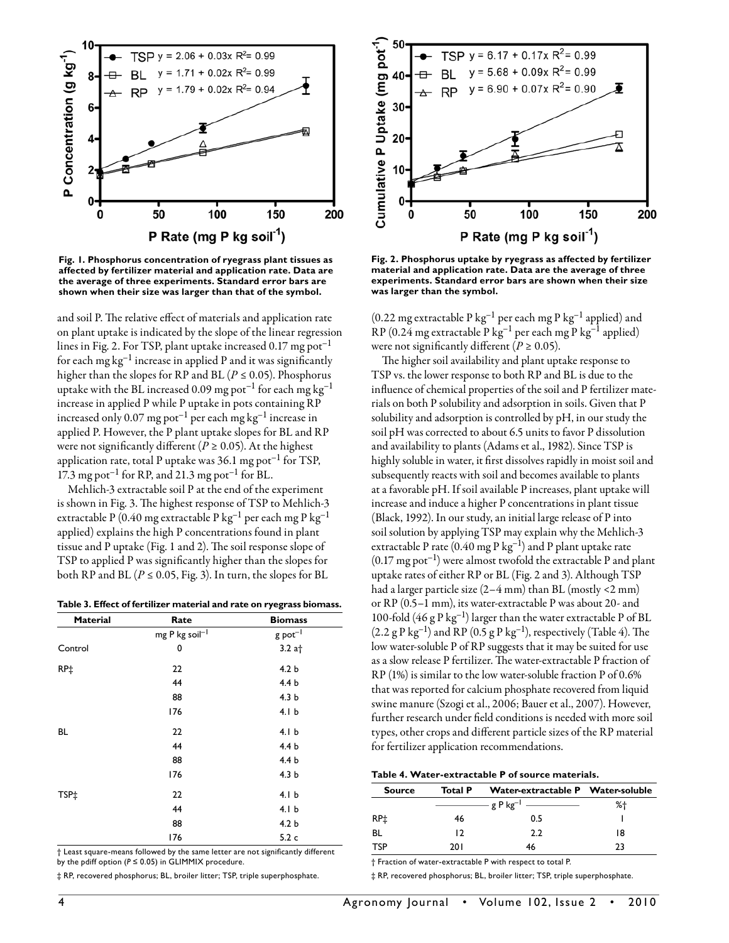

**Fig. 1. Phosphorus concentration of ryegrass plant tissues as affected by fertilizer material and application rate. Data are the average of three experiments. Standard error bars are shown when their size was larger than that of the symbol.**

and soil P. The relative effect of materials and application rate on plant uptake is indicated by the slope of the linear regression lines in Fig. 2. For TSP, plant uptake increased 0.17 mg pot<sup>-1</sup> for each mg  $kg^{-1}$  increase in applied P and it was significantly higher than the slopes for RP and BL ( $P \le 0.05$ ). Phosphorus uptake with the BL increased 0.09 mg pot<sup>-1</sup> for each mg kg<sup>-1</sup> increase in applied P while P uptake in pots containing RP increased only 0.07 mg pot–1 per each mg kg–1 increase in applied P. However, the P plant uptake slopes for BL and RP were not significantly different ( $P \ge 0.05$ ). At the highest application rate, total P uptake was  $36.1$  mg pot<sup>-1</sup> for TSP, 17.3 mg pot<sup>-1</sup> for RP, and 21.3 mg pot<sup>-1</sup> for BL.

Mehlich-3 extractable soil P at the end of the experiment is shown in Fig. 3. The highest response of TSP to Mehlich-3 extractable P (0.40 mg extractable P kg–1 per each mg P kg–1 applied) explains the high P concentrations found in plant tissue and P uptake (Fig. 1 and 2). The soil response slope of TSP to applied P was significantly higher than the slopes for both RP and BL ( $P \le 0.05$ , Fig. 3). In turn, the slopes for BL

**Table 3. Effect of fertilizer material and rate on ryegrass biomass.**

| <b>Material</b> | Rate           | <b>Biomass</b>                     |  |
|-----------------|----------------|------------------------------------|--|
|                 | mg P kg soil-1 | $g$ pot <sup><math>-l</math></sup> |  |
| Control         | 0<br>$3.2$ at  |                                    |  |
| RP‡             | 22             | 4.2 <sub>b</sub>                   |  |
|                 | 44             | 4.4 <sub>b</sub>                   |  |
|                 | 88             | 4.3 <sub>b</sub>                   |  |
|                 | 176            | 4.1 <sub>b</sub>                   |  |
| BL              | 22             | 4.1 <sub>b</sub>                   |  |
|                 | 44             | 4.4 <sub>b</sub>                   |  |
|                 | 88             | 4.4 <sub>b</sub>                   |  |
|                 | 176            | 4.3 <sub>b</sub>                   |  |
| TSP‡            | 22             | 4.1 <sub>b</sub>                   |  |
|                 | 44             | 4.1 <sub>b</sub>                   |  |
|                 | 88             | 4.2 <sub>b</sub>                   |  |
|                 | 176            | 5.2c                               |  |

† Least square-means followed by the same letter are not significantly different by the pdiff option ( $P \le 0.05$ ) in GLIMMIX procedure.

‡ RP, recovered phosphorus; BL, broiler litter; TSP, triple superphosphate.



**Fig. 2. Phosphorus uptake by ryegrass as affected by fertilizer material and application rate. Data are the average of three experiments. Standard error bars are shown when their size was larger than the symbol.**

(0.22 mg extractable P kg<sup>-1</sup> per each mg P kg<sup>-1</sup> applied) and RP (0.24 mg extractable P kg<sup>-1</sup> per each mg P kg<sup>-1</sup> applied) were not significantly different  $(P \ge 0.05)$ .

The higher soil availability and plant uptake response to TSP vs. the lower response to both RP and BL is due to the influence of chemical properties of the soil and P fertilizer materials on both P solubility and adsorption in soils. Given that P solubility and adsorption is controlled by pH, in our study the soil pH was corrected to about 6.5 units to favor P dissolution and availability to plants (Adams et al., 1982). Since TSP is highly soluble in water, it first dissolves rapidly in moist soil and subsequently reacts with soil and becomes available to plants at a favorable pH. If soil available P increases, plant uptake will increase and induce a higher P concentrations in plant tissue (Black, 1992). In our study, an initial large release of P into soil solution by applying TSP may explain why the Mehlich-3 extractable P rate  $(0.40 \text{ mg} \text{ P kg}^{-1})$  and P plant uptake rate  $(0.17 \text{ mg pot}^{-1})$  were almost twofold the extractable P and plant uptake rates of either RP or BL (Fig. 2 and 3). Although TSP had a larger particle size (2–4 mm) than BL (mostly <2 mm) or RP (0.5–1 mm), its water-extractable P was about 20- and 100-fold  $(46 g P kg^{-1})$  larger than the water extractable P of BL  $(2.2 \text{ g P kg}^{-1})$  and RP  $(0.5 \text{ g P kg}^{-1})$ , respectively (Table 4). The low water-soluble P of RP suggests that it may be suited for use as a slow release P fertilizer. The water-extractable P fraction of RP (1%) is similar to the low water-soluble fraction P of 0.6% that was reported for calcium phosphate recovered from liquid swine manure (Szogi et al., 2006; Bauer et al., 2007). However, further research under field conditions is needed with more soil types, other crops and different particle sizes of the RP material for fertilizer application recommendations.

### **Table 4. Water-extractable P of source materials.**

| <b>Total P</b> | Water-extractable P Water-soluble |    |
|----------------|-----------------------------------|----|
|                | - g P kg <sup>-1</sup> ————       | %† |
| 46             | 0.5                               |    |
| 12             | 22                                | 18 |
| 20 I           | 46                                | 23 |
|                |                                   |    |

† Fraction of water-extractable P with respect to total P.

‡ RP, recovered phosphorus; BL, broiler litter; TSP, triple superphosphate.